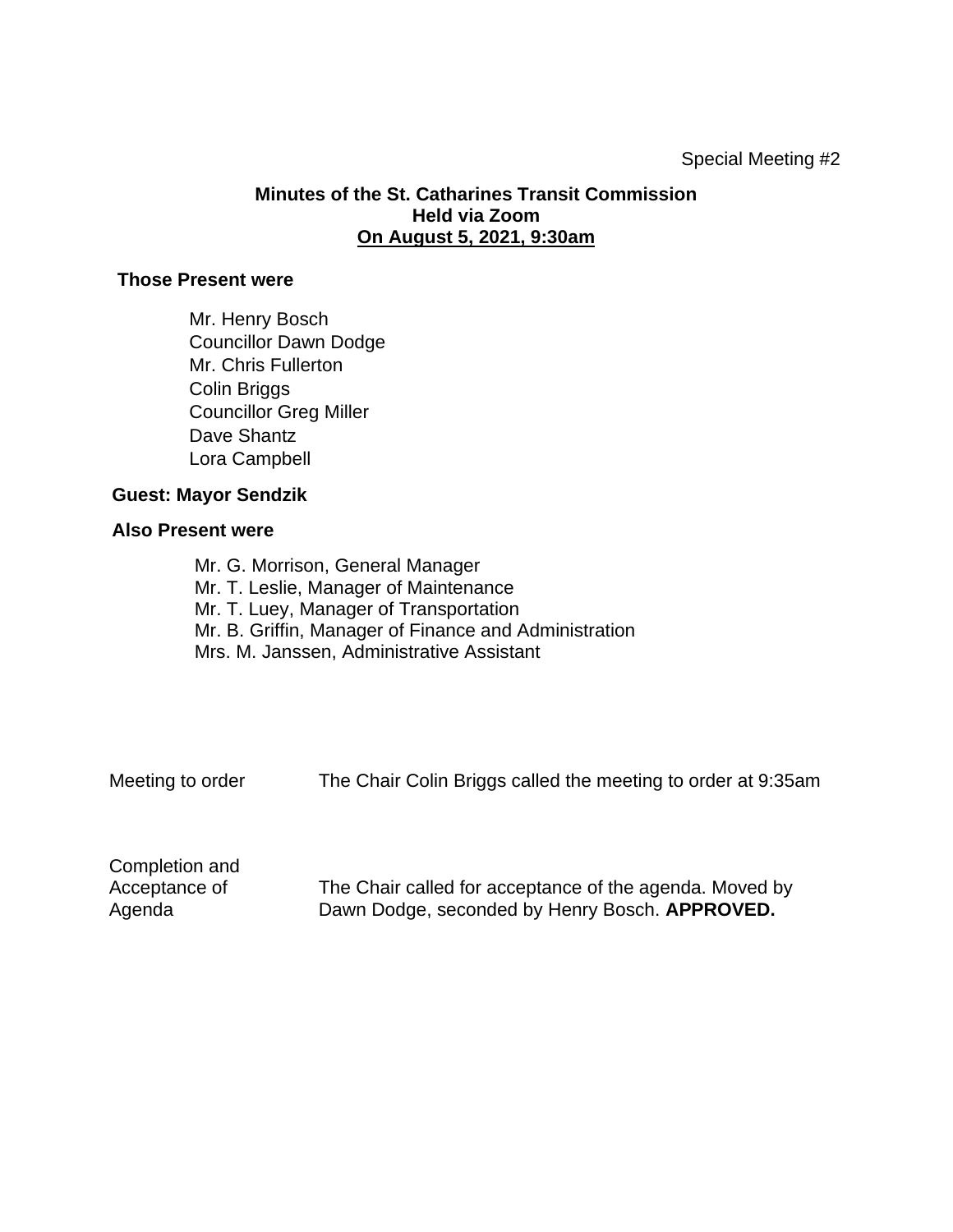## **Minutes of the St. Catharines Transit Commission Held via Zoom On August 5, 2021, 9:30am**

## **Those Present were**

Mr. Henry Bosch Councillor Dawn Dodge Mr. Chris Fullerton Colin Briggs Councillor Greg Miller Dave Shantz Lora Campbell

## **Guest: Mayor Sendzik**

## **Also Present were**

Mr. G. Morrison, General Manager Mr. T. Leslie, Manager of Maintenance Mr. T. Luey, Manager of Transportation Mr. B. Griffin, Manager of Finance and Administration Mrs. M. Janssen, Administrative Assistant

Meeting to order The Chair Colin Briggs called the meeting to order at 9:35am

Completion and Acceptance of Agenda

The Chair called for acceptance of the agenda. Moved by Dawn Dodge, seconded by Henry Bosch. **APPROVED.**